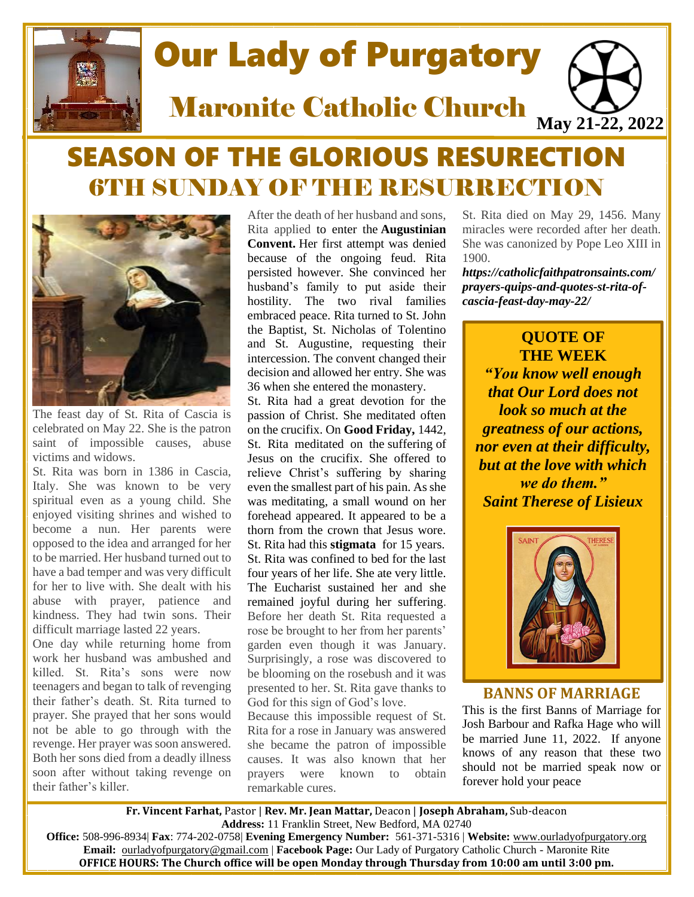

# Our Lady of Purgatory

Maronite Catholic Church

# SEASON OF THE GLORIOUS RESURECTION **6TH SUNDAY OF THE RESURRECTION**



The feast day of St. Rita of Cascia is celebrated on May 22. She is the patron saint of impossible causes, abuse victims and widows.

St. Rita was born in 1386 in Cascia, Italy. She was known to be very spiritual even as a young child. She enjoyed visiting shrines and wished to become a nun. Her parents were opposed to the idea and arranged for her to be married. Her husband turned out to have a bad temper and was very difficult for her to live with. She dealt with his abuse with prayer, patience and kindness. They had twin sons. Their difficult marriage lasted 22 years.

One day while returning home from work her husband was ambushed and killed. St. Rita's sons were now teenagers and began to talk of revenging their father's death. St. Rita turned to prayer. She prayed that her sons would not be able to go through with the revenge. Her prayer was soon answered. Both her sons died from a deadly illness soon after without taking revenge on their father's killer.

After the death of her husband and sons, Rita applied to enter the **[Augustinian](https://catholicfaithpatronsaints.com/prayers-quips-and-quotes-st-augustine-feast-day-august-28/)  [Convent.](https://catholicfaithpatronsaints.com/prayers-quips-and-quotes-st-augustine-feast-day-august-28/)** Her first attempt was denied because of the ongoing feud. Rita persisted however. She convinced her husband's family to put aside their hostility. The two rival families embraced peace. Rita turned to St. John the Baptist, St. Nicholas of Tolentino and St. Augustine, requesting their intercession. The convent changed their decision and allowed her entry. She was 36 when she entered the monastery.

St. Rita had a great devotion for the passion of Christ. She meditated often on the crucifix. On **[Good Friday,](https://catholicfaithpatronsaints.com/good-friday-comes-before-easter/)** 1442, St. Rita meditated on the [suffering](https://catholicfaithpatronsaints.com/home/the-suffering-pilgrim-short-reflections-during-times-of-grief/) of Jesus on the crucifix. She offered to relieve Christ's suffering by sharing even the smallest part of his pain. As she was meditating, a small wound on her forehead appeared. It appeared to be a thorn from the crown that Jesus wore. St. Rita had this **[stigmata](http://www.saintritashrine.org/life-of-saint-rita/)** for 15 years. St. Rita was confined to bed for the last four years of her life. She ate very little. The Eucharist sustained her and she remained joyful during her suffering. Before her death St. Rita requested a rose be brought to her from her parents' garden even though it was January. Surprisingly, a rose was discovered to be blooming on the rosebush and it was presented to her. St. Rita gave thanks to God for this sign of God's love.

Because this impossible request of St. Rita for a rose in January was answered she became the patron of impossible causes. It was also known that her prayers were known to obtain remarkable cures.

St. Rita died on May 29, 1456. Many miracles were recorded after her death. She was canonized by Pope Leo XIII in 1900.

**May 21-22, 2022**

*https://catholicfaithpatronsaints.com/ prayers-quips-and-quotes-st-rita-ofcascia-feast-day-may-22/*

# **QUOTE OF THE WEEK** *"You know well enough that Our Lord does not look so much at the greatness of our actions, nor even at their difficulty, but at the love with which we do them." Saint Therese of Lisieux*



**BANNS OF MARRIAGE**

This is the first Banns of Marriage for Josh Barbour and Rafka Hage who will be married June 11, 2022. If anyone knows of any reason that these two should not be married speak now or forever hold your peace

**Fr. Vincent Farhat,** Pastor | **Rev. Mr. Jean Mattar,** Deacon | **Joseph Abraham,** Sub-deacon **Address:** 11 Franklin Street, New Bedford, MA 02740

**Office:** 508-996-8934| **Fax**: 774-202-0758| **Evening Emergency Number:** 561-371-5316 | **Website:** [www.ourladyofpurgatory.org](http://www.ourladyofpurgatory.org/) **Email:** [ourladyofpurgatory@gmail.com](mailto:ourladyofpurgatory@verizon.net) | **Facebook Page:** Our Lady of Purgatory Catholic Church - Maronite Rite **OFFICE HOURS: The Church office will be open Monday through Thursday from 10:00 am until 3:00 pm.**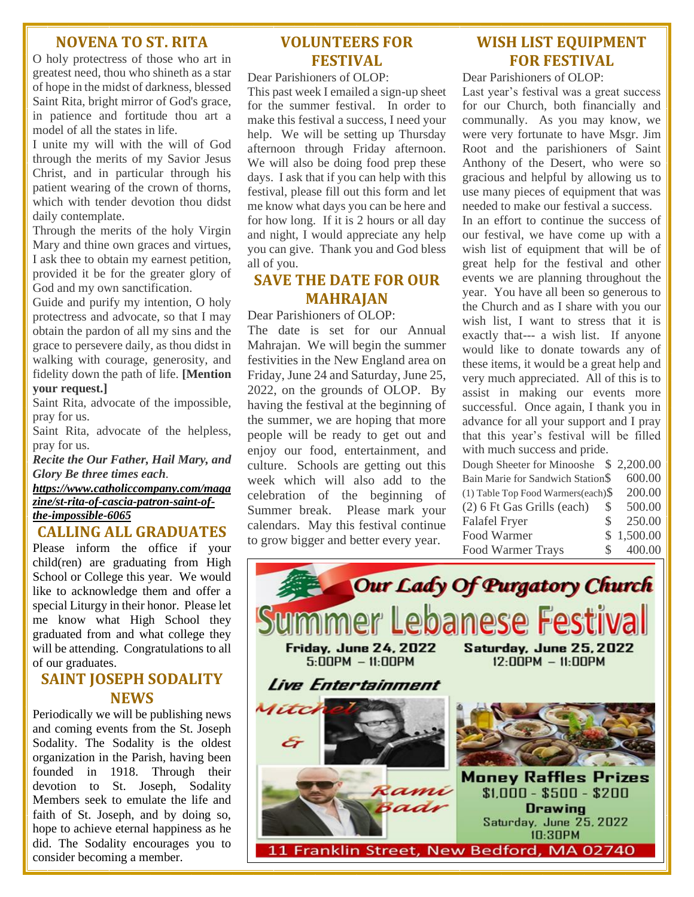#### **NOVENA TO ST. RITA**

O holy protectress of those who art in greatest need, thou who shineth as a star of hope in the midst of darkness, blessed Saint Rita, bright mirror of God's grace, in patience and fortitude thou art a model of all the states in life.

I unite my will with the will of God through the merits of my Savior Jesus Christ, and in particular through his patient wearing of the crown of thorns, which with tender devotion thou didst daily contemplate.

Through the merits of the holy Virgin Mary and thine own graces and virtues, I ask thee to obtain my earnest petition, provided it be for the greater glory of God and my own sanctification.

Guide and purify my intention, O holy protectress and advocate, so that I may obtain the pardon of all my sins and the grace to persevere daily, as thou didst in walking with courage, generosity, and fidelity down the path of life. **[Mention** 

#### **your request.]**

Saint Rita, advocate of the impossible, pray for us.

Saint Rita, advocate of the helpless, pray for us.

*Recite the Our Father, Hail Mary, and Glory Be three times each. [https://www.catholiccompany.com/maga](https://www.catholiccompany.com/magazine/st-rita-of-cascia-patron-saint-of-the-impossible-6065)*

*[zine/st-rita-of-cascia-patron-saint-of](https://www.catholiccompany.com/magazine/st-rita-of-cascia-patron-saint-of-the-impossible-6065)[the-impossible-6065](https://www.catholiccompany.com/magazine/st-rita-of-cascia-patron-saint-of-the-impossible-6065)*

#### **CALLING ALL GRADUATES**

Please inform the office if your child(ren) are graduating from High School or College this year. We would like to acknowledge them and offer a special Liturgy in their honor. Please let me know what High School they graduated from and what college they will be attending. Congratulations to all of our graduates.

### **SAINT JOSEPH SODALITY NEWS**

Periodically we will be publishing news and coming events from the St. Joseph Sodality. The Sodality is the oldest organization in the Parish, having been founded in 1918. Through their devotion to St. Joseph, Sodality Members seek to emulate the life and faith of St. Joseph, and by doing so, hope to achieve eternal happiness as he did. The Sodality encourages you to consider becoming a member.

# **VOLUNTEERS FOR FESTIVAL**

Dear Parishioners of OLOP:

This past week I emailed a sign-up sheet for the summer festival. In order to make this festival a success, I need your help. We will be setting up Thursday afternoon through Friday afternoon. We will also be doing food prep these days. I ask that if you can help with this festival, please fill out this form and let me know what days you can be here and for how long. If it is 2 hours or all day and night, I would appreciate any help you can give. Thank you and God bless all of you.

#### **SAVE THE DATE FOR OUR MAHRAJAN**

Dear Parishioners of OLOP:

The date is set for our Annual Mahrajan. We will begin the summer festivities in the New England area on Friday, June 24 and Saturday, June 25, 2022, on the grounds of OLOP. By having the festival at the beginning of the summer, we are hoping that more people will be ready to get out and enjoy our food, entertainment, and culture. Schools are getting out this week which will also add to the celebration of the beginning of Summer break. Please mark your calendars. May this festival continue to grow bigger and better every year.

# **WISH LIST EQUIPMENT FOR FESTIVAL**

Dear Parishioners of OLOP:

Last year's festival was a great success for our Church, both financially and communally. As you may know, we were very fortunate to have Msgr. Jim Root and the parishioners of Saint Anthony of the Desert, who were so gracious and helpful by allowing us to use many pieces of equipment that was needed to make our festival a success.

In an effort to continue the success of our festival, we have come up with a wish list of equipment that will be of great help for the festival and other events we are planning throughout the year. You have all been so generous to the Church and as I share with you our wish list, I want to stress that it is exactly that--- a wish list. If anyone would like to donate towards any of these items, it would be a great help and very much appreciated. All of this is to assist in making our events more successful. Once again, I thank you in advance for all your support and I pray that this year's festival will be filled with much success and pride.

Dough Sheeter for Minooshe \$ 2,200.00 Bain Marie for Sandwich Station\$ 600.00 (1) Table Top Food Warmers(each)\$ 200.00 (2) 6 Ft Gas Grills (each) \$ 500.00 Falafel Fryer \$ 250.00 Food Warmer \$ 1,500.00 Food Warmer Trays \$ 400.00

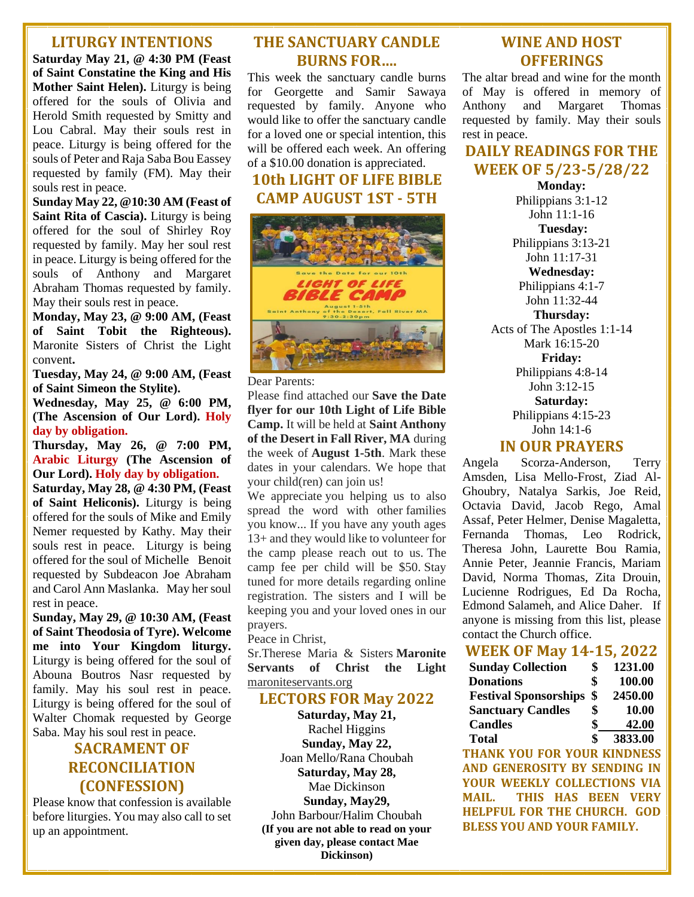#### **LITURGY INTENTIONS**

**Saturday May 21, @ 4:30 PM (Feast of Saint Constatine the King and His Mother Saint Helen).** Liturgy is being offered for the souls of Olivia and Herold Smith requested by Smitty and Lou Cabral. May their souls rest in peace. Liturgy is being offered for the souls of Peter and Raja Saba Bou Eassey requested by family (FM). May their souls rest in peace.

**Sunday May 22, @10:30 AM (Feast of Saint Rita of Cascia).** Liturgy is being offered for the soul of Shirley Roy requested by family. May her soul rest in peace. Liturgy is being offered for the souls of Anthony and Margaret Abraham Thomas requested by family. May their souls rest in peace.

**Monday, May 23, @ 9:00 AM, (Feast of Saint Tobit the Righteous).**  Maronite Sisters of Christ the Light convent**.**

**Tuesday, May 24, @ 9:00 AM, (Feast of Saint Simeon the Stylite).**

**Wednesday, May 25, @ 6:00 PM, (The Ascension of Our Lord). Holy day by obligation.**

**Thursday, May 26, @ 7:00 PM, Arabic Liturgy (The Ascension of Our Lord). Holy day by obligation.**

**Saturday, May 28, @ 4:30 PM, (Feast of Saint Heliconis).** Liturgy is being offered for the souls of Mike and Emily Nemer requested by Kathy. May their souls rest in peace. Liturgy is being offered for the soul of Michelle Benoit requested by Subdeacon Joe Abraham and Carol Ann Maslanka. May her soul rest in peace.

**Sunday, May 29, @ 10:30 AM, (Feast of Saint Theodosia of Tyre). Welcome me into Your Kingdom liturgy.** Liturgy is being offered for the soul of Abouna Boutros Nasr requested by family. May his soul rest in peace. Liturgy is being offered for the soul of Walter Chomak requested by George Saba. May his soul rest in peace.

# **SACRAMENT OF RECONCILIATION (CONFESSION)**

Please know that confession is available before liturgies. You may also call to set up an appointment.

# **THE SANCTUARY CANDLE BURNS FOR….**

This week the sanctuary candle burns for Georgette and Samir Sawaya requested by family. Anyone who would like to offer the sanctuary candle for a loved one or special intention, this will be offered each week. An offering of a \$10.00 donation is appreciated.

### **10th LIGHT OF LIFE BIBLE CAMP AUGUST 1ST - 5TH**



Dear Parents:

Please find attached our **Save the Date flyer for our 10th Light of Life Bible Camp.** It will be held at **Saint Anthony of the Desert in Fall River, MA** during the week of **August 1-5th**. Mark these dates in your calendars. We hope that your child(ren) can join us!

We appreciate you helping us to also spread the word with other families you know... If you have any youth ages 13+ and they would like to volunteer for the camp please reach out to us. The camp fee per child will be \$50. Stay tuned for more details regarding online registration. The sisters and I will be keeping you and your loved ones in our prayers.

Peace in Christ,

Sr.Therese Maria & Sisters **Maronite Servants of Christ the Light** maroniteservants.org

#### **LECTORS FOR May 2022**

**Saturday, May 21,**  Rachel Higgins **Sunday, May 22,**  Joan Mello/Rana Choubah **Saturday, May 28,**  Mae Dickinson **Sunday, May29,**  John Barbour/Halim Choubah **(If you are not able to read on your given day, please contact Mae Dickinson)**

## **WINE AND HOST OFFERINGS**

The altar bread and wine for the month of May is offered in memory of Anthony and Margaret Thomas requested by family. May their souls rest in peace.

# **DAILY READINGS FOR THE WEEK OF 5/23-5/28/22**

**Monday:**  Philippians 3:1-12 John 11:1-16 **Tuesday:**  Philippians 3:13-21 John 11:17-31 **Wednesday:**  Philippians 4:1-7 John 11:32-44 **Thursday:**  Acts of The Apostles 1:1-14 Mark 16:15-20 **Friday:**  Philippians 4:8-14 John 3:12-15 **Saturday:**  Philippians 4:15-23

John 14:1-6

#### **IN OUR PRAYERS**

Angela Scorza-Anderson, Terry Amsden, Lisa Mello-Frost, Ziad Al-Ghoubry, Natalya Sarkis, Joe Reid, Octavia David, Jacob Rego, Amal Assaf, Peter Helmer, Denise Magaletta, Fernanda Thomas, Leo Rodrick, Theresa John, Laurette Bou Ramia, Annie Peter, Jeannie Francis, Mariam David, Norma Thomas, Zita Drouin, Lucienne Rodrigues, Ed Da Rocha, Edmond Salameh, and Alice Daher. If anyone is missing from this list, please contact the Church office.

#### **WEEK OF May 14-15, 2022**

| <b>Sunday Collection</b>     | \$<br>1231.00 |
|------------------------------|---------------|
| <b>Donations</b>             | \$<br>100.00  |
| <b>Festival Sponsorships</b> | \$<br>2450.00 |
| <b>Sanctuary Candles</b>     | \$<br>10.00   |
| <b>Candles</b>               | \$<br>42.00   |
| <b>Total</b>                 | \$<br>3833.00 |

**THANK YOU FOR YOUR KINDNESS AND GENEROSITY BY SENDING IN YOUR WEEKLY COLLECTIONS VIA MAIL. THIS HAS BEEN VERY HELPFUL FOR THE CHURCH. GOD BLESS YOU AND YOUR FAMILY.**